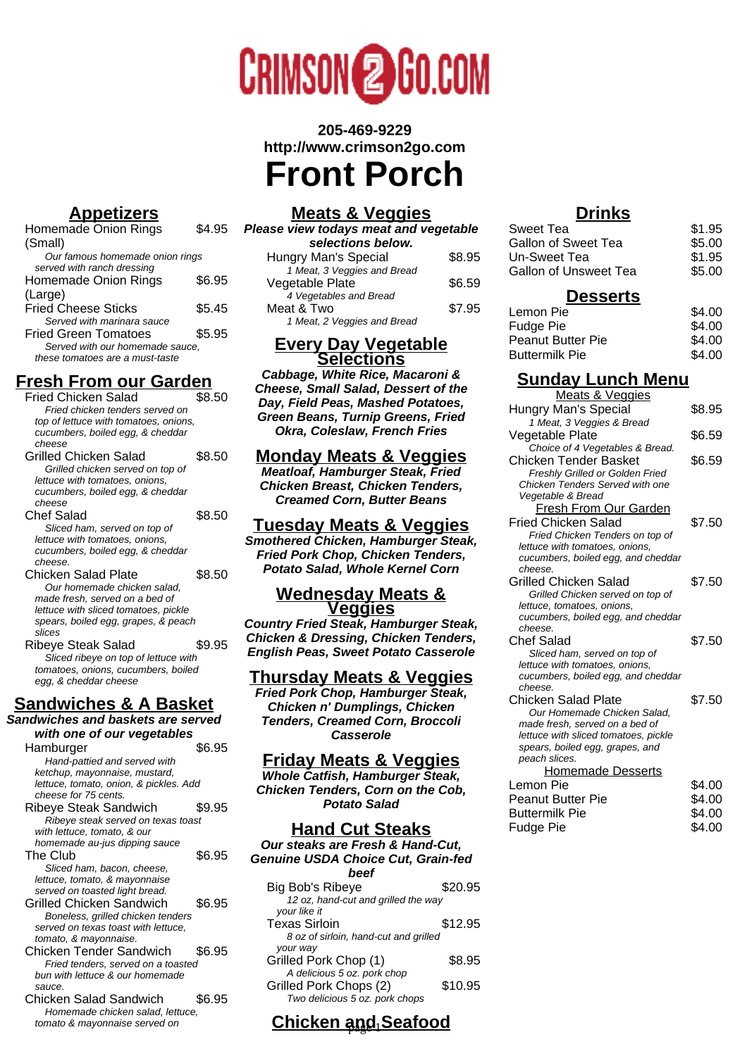

**205-469-9229 http://www.crimson2go.com Front Porch**

# **Appetizers**

| Homemade Onion Rings            | S4.95  |
|---------------------------------|--------|
| (Small)                         |        |
| Our famous homemade onion rings |        |
| served with ranch dressing      |        |
| Homemade Onion Rings            | \$6.95 |
| (Large)                         |        |
| <b>Fried Cheese Sticks</b>      | \$5.45 |
| Served with marinara sauce      |        |
| <b>Fried Green Tomatoes</b>     | \$5.95 |
| Served with our homemade sauce, |        |
| these tomatoes are a must-taste |        |
|                                 |        |

# **Fresh From our Garden**

| Fried Chicken Salad<br>Fried chicken tenders served on<br>top of lettuce with tomatoes, onions,<br>cucumbers, boiled egg, & cheddar<br>cheese                                 | \$8.50 |
|-------------------------------------------------------------------------------------------------------------------------------------------------------------------------------|--------|
| Grilled Chicken Salad<br>Grilled chicken served on top of<br>lettuce with tomatoes, onions,<br>cucumbers, boiled egg, & cheddar<br>cheese                                     | \$8.50 |
| Chef Salad<br>Sliced ham, served on top of<br>lettuce with tomatoes, onions,<br>cucumbers, boiled egg, & cheddar<br>cheese.                                                   | \$8.50 |
| Chicken Salad Plate<br>Our homemade chicken salad,<br>made fresh, served on a bed of<br>lettuce with sliced tomatoes, pickle<br>spears, boiled egg, grapes, & peach<br>slices | \$8.50 |
| Ribeye Steak Salad<br>Sliced ribeye on top of lettuce with<br>tomatoes, onions, cucumbers, boiled<br>egg, & cheddar cheese                                                    | \$9.95 |

# **Sandwiches & A Basket**

**Sandwiches and baskets are served with one of our vegetables**

| Hamburger                              | \$6.95 |
|----------------------------------------|--------|
| Hand-pattied and served with           |        |
| ketchup, mayonnaise, mustard,          |        |
| lettuce, tomato, onion, & pickles. Add |        |
| cheese for 75 cents.                   |        |
| <b>Ribeye Steak Sandwich</b>           | \$9.95 |
| Ribeye steak served on texas toast     |        |
| with lettuce, tomato, & our            |        |
| homemade au-jus dipping sauce          |        |
| The Club                               | \$6.95 |
| Sliced ham, bacon, cheese,             |        |
| lettuce, tomato, & mayonnaise          |        |
| served on toasted light bread.         |        |
| Grilled Chicken Sandwich               | \$6.95 |
| Boneless, grilled chicken tenders      |        |
| served on texas toast with lettuce.    |        |
| tomato, & mayonnaise.                  |        |
| <b>Chicken Tender Sandwich</b>         | \$6.95 |
| Fried tenders, served on a toasted     |        |
| bun with lettuce & our homemade        |        |
| sauce.                                 |        |
| Chicken Salad Sandwich                 | \$6.95 |
| Homemade chicken salad. lettuce.       |        |

tomato & mayonnaise served on

# **Meats & Veggies**

| Please view todays meat and vegetable |        |
|---------------------------------------|--------|
| selections below.                     |        |
| Hungry Man's Special                  | \$8.95 |
| 1 Meat, 3 Veggies and Bread           |        |
| Vegetable Plate                       | \$6.59 |
| 4 Vegetables and Bread                |        |
| Meat & Two                            | \$7.95 |
| 1 Meat, 2 Veggies and Bread           |        |

#### **Every Day Vegetable Selections**

**Cabbage, White Rice, Macaroni & Cheese, Small Salad, Dessert of the Day, Field Peas, Mashed Potatoes, Green Beans, Turnip Greens, Fried Okra, Coleslaw, French Fries**

## **Monday Meats & Veggies**

**Meatloaf, Hamburger Steak, Fried Chicken Breast, Chicken Tenders, Creamed Corn, Butter Beans**

#### **Tuesday Meats & Veggies**

**Smothered Chicken, Hamburger Steak, Fried Pork Chop, Chicken Tenders, Potato Salad, Whole Kernel Corn**

#### **Wednesday Meats & Veggies**

**Country Fried Steak, Hamburger Steak, Chicken & Dressing, Chicken Tenders, English Peas, Sweet Potato Casserole**

#### **Thursday Meats & Veggies**

**Fried Pork Chop, Hamburger Steak, Chicken n' Dumplings, Chicken Tenders, Creamed Corn, Broccoli Casserole**

#### **Friday Meats & Veggies**

**Whole Catfish, Hamburger Steak, Chicken Tenders, Corn on the Cob, Potato Salad**

## **Hand Cut Steaks**

**Our steaks are Fresh & Hand-Cut, Genuine USDA Choice Cut, Grain-fed beef** Big Bob's Ribeye \$20.95 12 oz, hand-cut and grilled the way your like it Texas Sirloin **\$12.95** 8 oz of sirloin, hand-cut and grilled your way Grilled Pork Chop (1) \$8.95

#### Grilled Pork Chops (2) \$10.95 Two delicious 5 oz. pork chops **Chicken and Seafood**

A delicious 5 oz. pork chop

## **Drinks**

| Sweet Tea                    | \$1.95 |
|------------------------------|--------|
| Gallon of Sweet Tea          | \$5.00 |
| Un-Sweet Tea                 | \$1.95 |
| <b>Gallon of Unsweet Tea</b> | \$5.00 |
| <b>Desserts</b>              |        |

| ------            |        |
|-------------------|--------|
| Lemon Pie         | \$4.00 |
| Fudge Pie         | \$4.00 |
| Peanut Butter Pie | \$4.00 |
| Buttermilk Pie    | \$4.00 |

# **Sunday Lunch Menu**

| Meats & Veggies                                                      |        |
|----------------------------------------------------------------------|--------|
| Hungry Man's Special                                                 | \$8.95 |
| 1 Meat, 3 Veggies & Bread                                            |        |
| Vegetable Plate                                                      | \$6.59 |
| Choice of 4 Vegetables & Bread.                                      |        |
| Chicken Tender Basket                                                | \$6.59 |
| Freshly Grilled or Golden Fried                                      |        |
| Chicken Tenders Served with one                                      |        |
| Vegetable & Bread                                                    |        |
| Fresh From Our Garden                                                |        |
| Fried Chicken Salad                                                  | \$7.50 |
| Fried Chicken Tenders on top of                                      |        |
| lettuce with tomatoes, onions,                                       |        |
| cucumbers, boiled egg, and cheddar                                   |        |
| cheese.                                                              |        |
| Grilled Chicken Salad                                                | \$7.50 |
| Grilled Chicken served on top of                                     |        |
| lettuce, tomatoes, onions,                                           |        |
| cucumbers, boiled egg, and cheddar<br>cheese.                        |        |
|                                                                      |        |
| <b>Chef Salad</b>                                                    | \$7.50 |
| Sliced ham, served on top of                                         |        |
| lettuce with tomatoes, onions,<br>cucumbers, boiled egg, and cheddar |        |
| cheese.                                                              |        |
| Chicken Salad Plate                                                  | \$7.50 |
| Our Homemade Chicken Salad.                                          |        |
| made fresh, served on a bed of                                       |        |
| lettuce with sliced tomatoes, pickle                                 |        |
| spears, boiled egg, grapes, and                                      |        |
| peach slices.                                                        |        |
| Homemade Desserts                                                    |        |
| Lemon Pie                                                            | \$4.00 |
| Peanut Butter Pie                                                    | \$4.00 |
| <b>Buttermilk Pie</b>                                                | \$4.00 |
| Fudge Pie                                                            | \$4.00 |
|                                                                      |        |